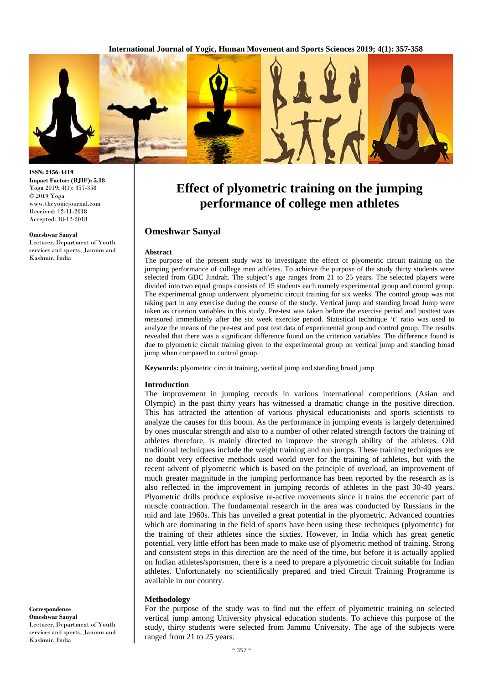

# **Effect of plyometric training on the jumping performance of college men athletes**

## **Omeshwar Sanyal**

#### **Abstract**

The purpose of the present study was to investigate the effect of plyometric circuit training on the jumping performance of college men athletes. To achieve the purpose of the study thirty students were selected from GDC Jindrah. The subject's age ranges from 21 to 25 years. The selected players were divided into two equal groups consists of 15 students each namely experimental group and control group. The experimental group underwent plyometric circuit training for six weeks. The control group was not taking part in any exercise during the course of the study. Vertical jump and standing broad Jump were taken as criterion variables in this study. Pre-test was taken before the exercise period and posttest was measured immediately after the six week exercise period. Statistical technique 't' ratio was used to analyze the means of the pre-test and post test data of experimental group and control group. The results revealed that there was a significant difference found on the criterion variables. The difference found is due to plyometric circuit training given to the experimental group on vertical jump and standing broad jump when compared to control group.

**Keywords:** plyometric circuit training, vertical jump and standing broad jump

#### **Introduction**

The improvement in jumping records in various international competitions (Asian and Olympic) in the past thirty years has witnessed a dramatic change in the positive direction. This has attracted the attention of various physical educationists and sports scientists to analyze the causes for this boom. As the performance in jumping events is largely determined by ones muscular strength and also to a number of other related strength factors the training of athletes therefore, is mainly directed to improve the strength ability of the athletes. Old traditional techniques include the weight training and run jumps. These training techniques are no doubt very effective methods used world over for the training of athletes, but with the recent advent of plyometric which is based on the principle of overload, an improvement of much greater magnitude in the jumping performance has been reported by the research as is also reflected in the improvement in jumping records of athletes in the past 30-40 years. Plyometric drills produce explosive re-active movements since it trains the eccentric part of muscle contraction. The fundamental research in the area was conducted by Russians in the mid and late 1960s. This has unveiled a great potential in the plyometric. Advanced countries which are dominating in the field of sports have been using these techniques (plyometric) for the training of their athletes since the sixties. However, in India which has great genetic potential, very little effort has been made to make use of plyometric method of training. Strong and consistent steps in this direction are the need of the time, but before it is actually applied on Indian athletes/sportsmen, there is a need to prepare a plyometric circuit suitable for Indian athletes. Unfortunately no scientifically prepared and tried Circuit Training Programme is available in our country.

#### **Methodology**

For the purpose of the study was to find out the effect of plyometric training on selected vertical jump among University physical education students. To achieve this purpose of the study, thirty students were selected from Jammu University. The age of the subjects were ranged from 21 to 25 years.

**ISSN: 2456-4419 Impact Factor: (RJIF): 5.18** Yoga 2019; 4(1): 357-358 © 2019 Yoga www.theyogicjournal.com Received: 12-11-2018 Accepted: 18-12-2018

#### **Omeshwar Sanyal**

Lecturer, Department of Youth services and sports, Jammu and Kashmir, India

**Correspondence Omeshwar Sanyal** Lecturer, Department of Youth services and sports, Jammu and Kashmir, India